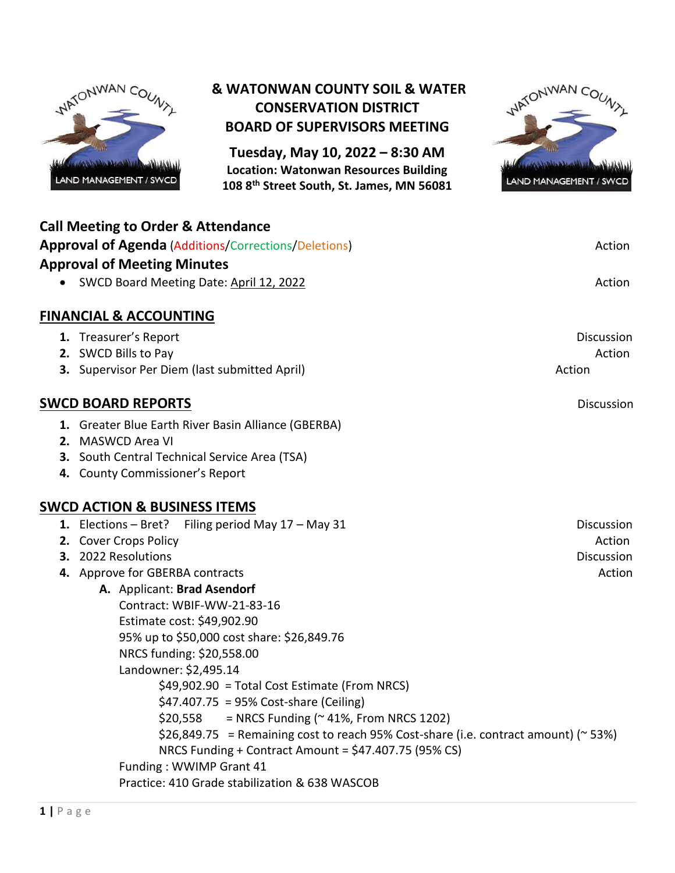

## **& WATONWAN COUNTY SOIL & WATER CONSERVATION DISTRICT BOARD OF SUPERVISORS MEETING**

**Tuesday, May 10, 2022 – 8:30 AM Location: Watonwan Resources Building 108 8th Street South, St. James, MN 56081**



| <b>Call Meeting to Order &amp; Attendance</b><br><b>Approval of Agenda (Additions/Corrections/Deletions)</b><br><b>Approval of Meeting Minutes</b>                                                                                                                                                                                                                                                                                                                                                                                                                                                                                                                                                                            | Action                                                     |
|-------------------------------------------------------------------------------------------------------------------------------------------------------------------------------------------------------------------------------------------------------------------------------------------------------------------------------------------------------------------------------------------------------------------------------------------------------------------------------------------------------------------------------------------------------------------------------------------------------------------------------------------------------------------------------------------------------------------------------|------------------------------------------------------------|
| SWCD Board Meeting Date: April 12, 2022                                                                                                                                                                                                                                                                                                                                                                                                                                                                                                                                                                                                                                                                                       | Action                                                     |
| <b>FINANCIAL &amp; ACCOUNTING</b>                                                                                                                                                                                                                                                                                                                                                                                                                                                                                                                                                                                                                                                                                             |                                                            |
| 1. Treasurer's Report<br>2. SWCD Bills to Pay<br>3. Supervisor Per Diem (last submitted April)                                                                                                                                                                                                                                                                                                                                                                                                                                                                                                                                                                                                                                | <b>Discussion</b><br>Action<br>Action                      |
| <b>SWCD BOARD REPORTS</b>                                                                                                                                                                                                                                                                                                                                                                                                                                                                                                                                                                                                                                                                                                     | Discussion                                                 |
| 1. Greater Blue Earth River Basin Alliance (GBERBA)<br>2. MASWCD Area VI<br>3. South Central Technical Service Area (TSA)<br>4. County Commissioner's Report                                                                                                                                                                                                                                                                                                                                                                                                                                                                                                                                                                  |                                                            |
| <b>SWCD ACTION &amp; BUSINESS ITEMS</b>                                                                                                                                                                                                                                                                                                                                                                                                                                                                                                                                                                                                                                                                                       |                                                            |
| 1. Elections - Bret? Filing period May 17 - May 31<br>2. Cover Crops Policy<br>3. 2022 Resolutions<br>4. Approve for GBERBA contracts<br>A. Applicant: Brad Asendorf<br>Contract: WBIF-WW-21-83-16<br>Estimate cost: \$49,902.90<br>95% up to \$50,000 cost share: \$26,849.76<br>NRCS funding: \$20,558.00<br>Landowner: \$2,495.14<br>\$49,902.90 = Total Cost Estimate (From NRCS)<br>$$47.407.75 = 95\%$ Cost-share (Ceiling)<br>= NRCS Funding ( $\approx$ 41%, From NRCS 1202)<br>\$20,558<br>$$26,849.75$ = Remaining cost to reach 95% Cost-share (i.e. contract amount) (~53%)<br>NRCS Funding + Contract Amount = \$47.407.75 (95% CS)<br>Funding: WWIMP Grant 41<br>Practice: 410 Grade stabilization & 638 WASCOB | <b>Discussion</b><br>Action<br><b>Discussion</b><br>Action |